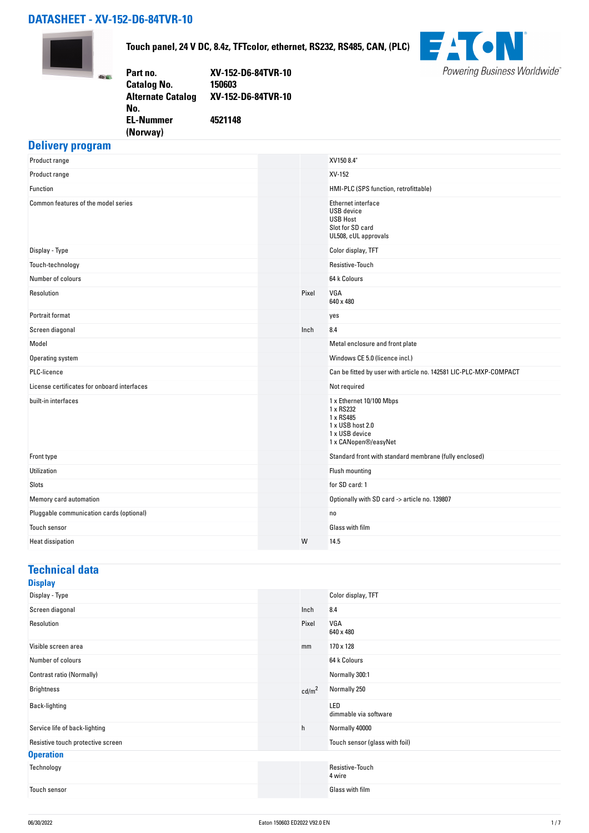# **DATASHEET - XV-152-D6-84TVR-10**

**(Norway)** 



**Touch panel, 24 V DC, 8.4z, TFTcolor, ethernet, RS232, RS485, CAN, (PLC)**

| Part no.                 | XV-152-D6-84TVR-10 |
|--------------------------|--------------------|
| <b>Catalog No.</b>       | 150603             |
| <b>Alternate Catalog</b> | XV-152-D6-84TVR-10 |
| No.                      |                    |
| <b>EL-Nummer</b>         | 4521148            |
|                          |                    |



### **Delivery program**

| Product range                               |       | XV150 8.4                                                                                                        |
|---------------------------------------------|-------|------------------------------------------------------------------------------------------------------------------|
| Product range                               |       | XV-152                                                                                                           |
| Function                                    |       | HMI-PLC (SPS function, retrofittable)                                                                            |
| Common features of the model series         |       | Ethernet interface<br><b>USB</b> device<br><b>USB Host</b><br>Slot for SD card<br>UL508, cUL approvals           |
| Display - Type                              |       | Color display, TFT                                                                                               |
| Touch-technology                            |       | Resistive-Touch                                                                                                  |
| Number of colours                           |       | 64 k Colours                                                                                                     |
| Resolution                                  | Pixel | VGA<br>640 x 480                                                                                                 |
| Portrait format                             |       | yes                                                                                                              |
| Screen diagonal                             | Inch  | 8.4                                                                                                              |
| Model                                       |       | Metal enclosure and front plate                                                                                  |
| Operating system                            |       | Windows CE 5.0 (licence incl.)                                                                                   |
| PLC-licence                                 |       | Can be fitted by user with article no. 142581 LIC-PLC-MXP-COMPACT                                                |
| License certificates for onboard interfaces |       | Not required                                                                                                     |
| built-in interfaces                         |       | 1 x Ethernet 10/100 Mbps<br>1 x RS232<br>1 x RS485<br>1 x USB host 2.0<br>1 x USB device<br>1 x CANopen®/easyNet |
| Front type                                  |       | Standard front with standard membrane (fully enclosed)                                                           |
| Utilization                                 |       | Flush mounting                                                                                                   |
| Slots                                       |       | for SD card: 1                                                                                                   |
| Memory card automation                      |       | Optionally with SD card -> article no. 139807                                                                    |
| Pluggable communication cards (optional)    |       | no                                                                                                               |
| Touch sensor                                |       | Glass with film                                                                                                  |
| <b>Heat dissipation</b>                     | W     | 14.5                                                                                                             |

# **Technical data**

|--|

| - - - -                           |                   |                                |
|-----------------------------------|-------------------|--------------------------------|
| Display - Type                    |                   | Color display, TFT             |
| Screen diagonal                   | Inch              | 8.4                            |
| Resolution                        | Pixel             | VGA<br>640 x 480               |
| Visible screen area               | mm                | 170 x 128                      |
| Number of colours                 |                   | 64 k Colours                   |
| Contrast ratio (Normally)         |                   | Normally 300:1                 |
| <b>Brightness</b>                 | cd/m <sup>2</sup> | Normally 250                   |
| Back-lighting                     |                   | LED<br>dimmable via software   |
| Service life of back-lighting     | h                 | Normally 40000                 |
| Resistive touch protective screen |                   | Touch sensor (glass with foil) |
| <b>Operation</b>                  |                   |                                |
| Technology                        |                   | Resistive-Touch<br>4 wire      |
| Touch sensor                      |                   | Glass with film                |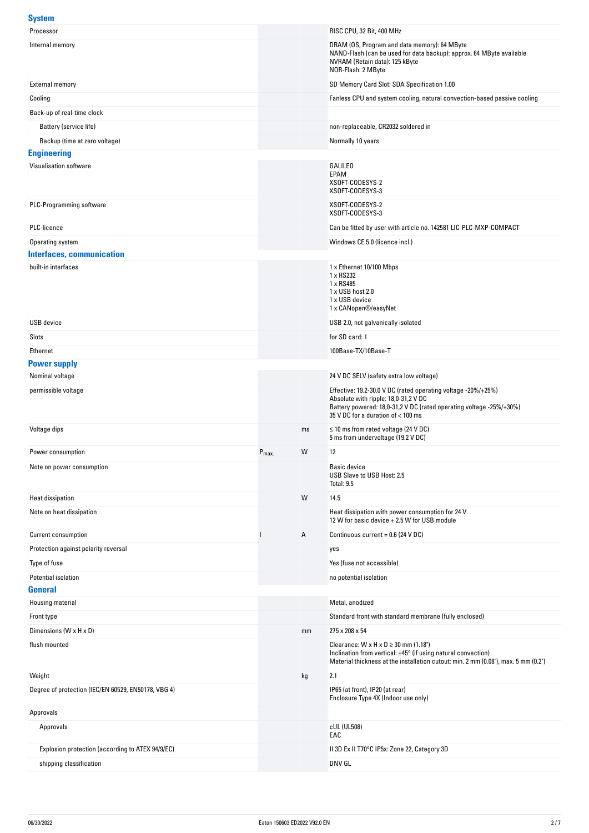#### **System**

| Processor                                                   |                  |    | RISC CPU, 32 Bit, 400 MHz                                                                                                                           |
|-------------------------------------------------------------|------------------|----|-----------------------------------------------------------------------------------------------------------------------------------------------------|
| Internal memory                                             |                  |    | DRAM (OS, Program and data memory): 64 MByte                                                                                                        |
|                                                             |                  |    | NAND-Flash (can be used for data backup): approx. 64 MByte available<br>NVRAM (Retain data): 125 kByte                                              |
|                                                             |                  |    | NOR-Flash: 2 MByte                                                                                                                                  |
| <b>External memory</b>                                      |                  |    | SD Memory Card Slot: SDA Specification 1.00                                                                                                         |
| Cooling                                                     |                  |    | Fanless CPU and system cooling, natural convection-based passive cooling                                                                            |
| Back-up of real-time clock                                  |                  |    |                                                                                                                                                     |
| Battery (service life)                                      |                  |    | non-replaceable, CR2032 soldered in                                                                                                                 |
| Backup (time at zero voltage)                               |                  |    | Normally 10 years                                                                                                                                   |
| <b>Engineering</b>                                          |                  |    |                                                                                                                                                     |
| Visualisation software                                      |                  |    | GALILEO<br>EPAM                                                                                                                                     |
|                                                             |                  |    | XSOFT-CODESYS-2                                                                                                                                     |
|                                                             |                  |    | XSOFT-CODESYS-3                                                                                                                                     |
| PLC-Programming software                                    |                  |    | XSOFT-CODESYS-2<br>XSOFT-CODESYS-3                                                                                                                  |
| PLC-licence                                                 |                  |    | Can be fitted by user with article no. 142581 LIC-PLC-MXP-COMPACT                                                                                   |
| Operating system                                            |                  |    | Windows CE 5.0 (licence incl.)                                                                                                                      |
| <b>Interfaces, communication</b>                            |                  |    |                                                                                                                                                     |
| built-in interfaces                                         |                  |    | 1 x Ethernet 10/100 Mbps                                                                                                                            |
|                                                             |                  |    | 1 x RS232<br>1 x RS485                                                                                                                              |
|                                                             |                  |    | 1 x USB host 2.0<br>1 x USB device                                                                                                                  |
|                                                             |                  |    | 1 x CANopen®/easyNet                                                                                                                                |
| <b>USB</b> device                                           |                  |    | USB 2.0, not galvanically isolated                                                                                                                  |
| Slots                                                       |                  |    | for SD card: 1                                                                                                                                      |
| Ethernet                                                    |                  |    | 100Base-TX/10Base-T                                                                                                                                 |
| <b>Power supply</b>                                         |                  |    |                                                                                                                                                     |
| Nominal voltage                                             |                  |    | 24 V DC SELV (safety extra low voltage)                                                                                                             |
| permissible voltage                                         |                  |    | Effective: 19.2-30.0 V DC (rated operating voltage -20%/+25%)                                                                                       |
|                                                             |                  |    | Absolute with ripple: 18,0-31,2 V DC<br>Battery powered: 18,0-31,2 V DC (rated operating voltage -25%/+30%)                                         |
|                                                             |                  |    | 35 V DC for a duration of < 100 ms                                                                                                                  |
| Voltage dips                                                |                  | ms | $\leq$ 10 ms from rated voltage (24 V DC)<br>5 ms from undervoltage (19.2 V DC)                                                                     |
| Power consumption                                           | $P_{\text{max}}$ | W  | 12                                                                                                                                                  |
| Note on power consumption                                   |                  |    | Basic device<br>USB Slave to USB Host: 2.5                                                                                                          |
|                                                             |                  |    | Total: 9.5                                                                                                                                          |
| <b>Heat dissipation</b>                                     |                  | W  | 14.5                                                                                                                                                |
| Note on heat dissipation                                    |                  |    | Heat dissipation with power consumption for 24 V<br>12 W for basic device + 2.5 W for USB module                                                    |
|                                                             |                  |    |                                                                                                                                                     |
| Current consumption<br>Protection against polarity reversal |                  | Α  | Continuous current = $0.6$ (24 V DC)                                                                                                                |
|                                                             |                  |    | yes<br>Yes (fuse not accessible)                                                                                                                    |
| Type of fuse<br>Potential isolation                         |                  |    |                                                                                                                                                     |
| <b>General</b>                                              |                  |    | no potential isolation                                                                                                                              |
| Housing material                                            |                  |    | Metal, anodized                                                                                                                                     |
| Front type                                                  |                  |    | Standard front with standard membrane (fully enclosed)                                                                                              |
| Dimensions (W x H x D)                                      |                  | mm | 275 x 208 x 54                                                                                                                                      |
| flush mounted                                               |                  |    | Clearance: $W \times H \times D \ge 30$ mm (1.18")                                                                                                  |
|                                                             |                  |    | Inclination from vertical: ±45° (if using natural convection)<br>Material thickness at the installation cutout: min. 2 mm (0.08"), max. 5 mm (0.2") |
| Weight                                                      |                  | kg | 2.1                                                                                                                                                 |
| Degree of protection (IEC/EN 60529, EN50178, VBG 4)         |                  |    | IP65 (at front), IP20 (at rear)                                                                                                                     |
|                                                             |                  |    | Enclosure Type 4X (Indoor use only)                                                                                                                 |
| Approvals                                                   |                  |    |                                                                                                                                                     |
| Approvals                                                   |                  |    | cUL (UL508)<br>EAC                                                                                                                                  |
| Explosion protection (according to ATEX 94/9/EC)            |                  |    | II 3D Ex II T70°C IP5x: Zone 22, Category 3D                                                                                                        |
| shipping classification                                     |                  |    | DNV GL                                                                                                                                              |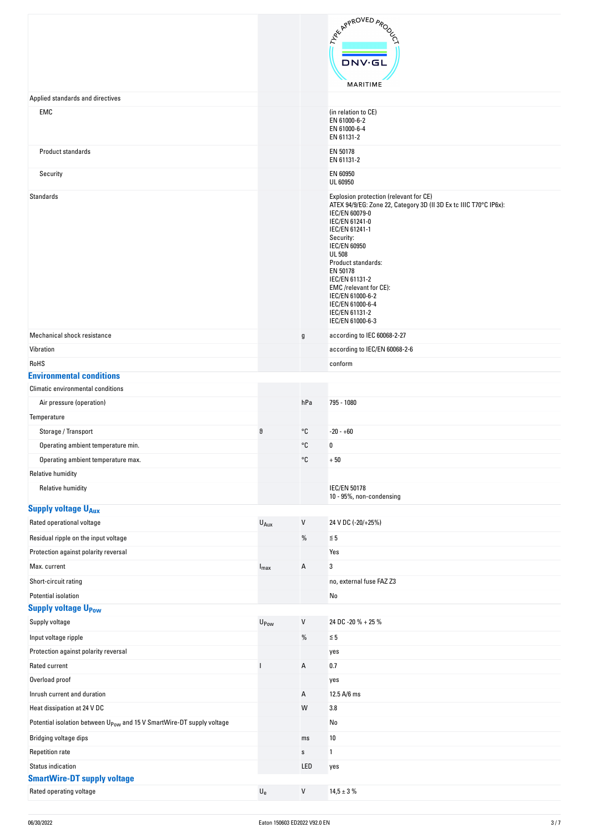|                                                                                   |                           |             | ARY APPROVED APON                                                                                                                                                                                                                                                                                                                                                                 |
|-----------------------------------------------------------------------------------|---------------------------|-------------|-----------------------------------------------------------------------------------------------------------------------------------------------------------------------------------------------------------------------------------------------------------------------------------------------------------------------------------------------------------------------------------|
|                                                                                   |                           |             |                                                                                                                                                                                                                                                                                                                                                                                   |
|                                                                                   |                           |             | <b>DNV·GL</b>                                                                                                                                                                                                                                                                                                                                                                     |
|                                                                                   |                           |             | MARITIME                                                                                                                                                                                                                                                                                                                                                                          |
| Applied standards and directives                                                  |                           |             |                                                                                                                                                                                                                                                                                                                                                                                   |
| EMC                                                                               |                           |             | (in relation to CE)                                                                                                                                                                                                                                                                                                                                                               |
|                                                                                   |                           |             | EN 61000-6-2<br>EN 61000-6-4                                                                                                                                                                                                                                                                                                                                                      |
|                                                                                   |                           |             | EN 61131-2                                                                                                                                                                                                                                                                                                                                                                        |
| Product standards                                                                 |                           |             | EN 50178<br>EN 61131-2                                                                                                                                                                                                                                                                                                                                                            |
| Security                                                                          |                           |             | EN 60950                                                                                                                                                                                                                                                                                                                                                                          |
|                                                                                   |                           |             | UL 60950                                                                                                                                                                                                                                                                                                                                                                          |
| <b>Standards</b>                                                                  |                           |             | Explosion protection (relevant for CE)<br>ATEX 94/9/EG: Zone 22, Category 3D (II 3D Ex tc IIIC T70°C IP6x):<br>IEC/EN 60079-0<br>IEC/EN 61241-0<br>IEC/EN 61241-1<br>Security:<br><b>IEC/EN 60950</b><br><b>UL 508</b><br>Product standards:<br>EN 50178<br>IEC/EN 61131-2<br>EMC/relevant for CE):<br>IEC/EN 61000-6-2<br>IEC/EN 61000-6-4<br>IEC/EN 61131-2<br>IEC/EN 61000-6-3 |
| Mechanical shock resistance                                                       |                           | g           | according to IEC 60068-2-27                                                                                                                                                                                                                                                                                                                                                       |
| Vibration                                                                         |                           |             | according to IEC/EN 60068-2-6                                                                                                                                                                                                                                                                                                                                                     |
| RoHS                                                                              |                           |             | conform                                                                                                                                                                                                                                                                                                                                                                           |
| <b>Environmental conditions</b>                                                   |                           |             |                                                                                                                                                                                                                                                                                                                                                                                   |
| Climatic environmental conditions                                                 |                           |             |                                                                                                                                                                                                                                                                                                                                                                                   |
| Air pressure (operation)                                                          |                           | hPa         | 795 - 1080                                                                                                                                                                                                                                                                                                                                                                        |
| Temperature                                                                       | θ                         | °C          |                                                                                                                                                                                                                                                                                                                                                                                   |
| Storage / Transport<br>Operating ambient temperature min.                         |                           | °C          | $-20 - +60$<br>$\bf{0}$                                                                                                                                                                                                                                                                                                                                                           |
| Operating ambient temperature max.                                                |                           | °C          | $+50\,$                                                                                                                                                                                                                                                                                                                                                                           |
| <b>Relative humidity</b>                                                          |                           |             |                                                                                                                                                                                                                                                                                                                                                                                   |
| <b>Relative humidity</b>                                                          |                           |             | <b>IEC/EN 50178</b>                                                                                                                                                                                                                                                                                                                                                               |
|                                                                                   |                           |             | 10 - 95%, non-condensing                                                                                                                                                                                                                                                                                                                                                          |
| <b>Supply voltage UAux</b>                                                        |                           |             |                                                                                                                                                                                                                                                                                                                                                                                   |
| Rated operational voltage                                                         | $U_{Aux}$                 | $\vee$      | 24 V DC (-20/+25%)                                                                                                                                                                                                                                                                                                                                                                |
| Residual ripple on the input voltage<br>Protection against polarity reversal      |                           | %           | $\leq 5$                                                                                                                                                                                                                                                                                                                                                                          |
| Max. current                                                                      |                           |             | Yes                                                                                                                                                                                                                                                                                                                                                                               |
|                                                                                   | $I_{\text{max}}$          | Α           | 3                                                                                                                                                                                                                                                                                                                                                                                 |
| Short-circuit rating<br>Potential isolation                                       |                           |             | no, external fuse FAZ Z3<br>No                                                                                                                                                                                                                                                                                                                                                    |
| <b>Supply voltage U<sub>Pow</sub></b>                                             |                           |             |                                                                                                                                                                                                                                                                                                                                                                                   |
| Supply voltage                                                                    | $U_{\text{Pow}}$          | V           | 24 DC -20 % + 25 %                                                                                                                                                                                                                                                                                                                                                                |
| Input voltage ripple                                                              |                           | $\%$        | $\leq 5$                                                                                                                                                                                                                                                                                                                                                                          |
| Protection against polarity reversal                                              |                           |             | yes                                                                                                                                                                                                                                                                                                                                                                               |
| Rated current                                                                     |                           | Α           | 0.7                                                                                                                                                                                                                                                                                                                                                                               |
| Overload proof                                                                    |                           |             | yes                                                                                                                                                                                                                                                                                                                                                                               |
| Inrush current and duration                                                       |                           | Α           | 12.5 A/6 ms                                                                                                                                                                                                                                                                                                                                                                       |
| Heat dissipation at 24 V DC                                                       |                           | W           | 3.8                                                                                                                                                                                                                                                                                                                                                                               |
| Potential isolation between U <sub>Pow</sub> and 15 V SmartWire-DT supply voltage |                           |             | No                                                                                                                                                                                                                                                                                                                                                                                |
| Bridging voltage dips                                                             |                           | ms          | 10                                                                                                                                                                                                                                                                                                                                                                                |
| <b>Repetition rate</b>                                                            |                           | $\mathbf S$ | 1                                                                                                                                                                                                                                                                                                                                                                                 |
| <b>Status indication</b>                                                          |                           | LED         | yes                                                                                                                                                                                                                                                                                                                                                                               |
| <b>SmartWire-DT supply voltage</b>                                                |                           |             |                                                                                                                                                                                                                                                                                                                                                                                   |
| Rated operating voltage                                                           | $\mathsf{U}_{\mathsf{e}}$ | ${\sf V}$   | $14,5 \pm 3 \%$                                                                                                                                                                                                                                                                                                                                                                   |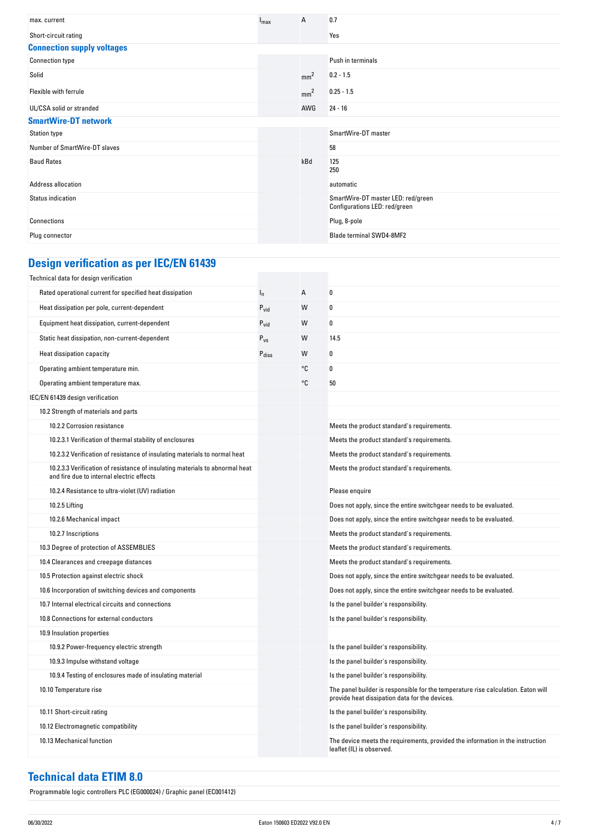| max. current                      | $I_{\text{max}}$ | Α               | 0.7                                                                 |
|-----------------------------------|------------------|-----------------|---------------------------------------------------------------------|
| Short-circuit rating              |                  |                 | Yes                                                                 |
| <b>Connection supply voltages</b> |                  |                 |                                                                     |
| <b>Connection type</b>            |                  |                 | Push in terminals                                                   |
| Solid                             |                  | mm <sup>2</sup> | $0.2 - 1.5$                                                         |
| Flexible with ferrule             |                  | mm <sup>2</sup> | $0.25 - 1.5$                                                        |
| UL/CSA solid or stranded          |                  | AWG             | $24 - 16$                                                           |
| <b>SmartWire-DT network</b>       |                  |                 |                                                                     |
| <b>Station type</b>               |                  |                 | SmartWire-DT master                                                 |
| Number of SmartWire-DT slaves     |                  |                 | 58                                                                  |
| <b>Baud Rates</b>                 |                  | kBd             | 125<br>250                                                          |
| Address allocation                |                  |                 | automatic                                                           |
| Status indication                 |                  |                 | SmartWire-DT master LED: red/green<br>Configurations LED: red/green |
| Connections                       |                  |                 | Plug, 8-pole                                                        |
| Plug connector                    |                  |                 | Blade terminal SWD4-8MF2                                            |

# **Design verification as per IEC/EN 61439**

| Technical data for design verification                                                                                    |                   |    |                                                                                                                                     |
|---------------------------------------------------------------------------------------------------------------------------|-------------------|----|-------------------------------------------------------------------------------------------------------------------------------------|
| Rated operational current for specified heat dissipation                                                                  | $I_{n}$           | А  | 0                                                                                                                                   |
| Heat dissipation per pole, current-dependent                                                                              | $P_{\text{vid}}$  | W  | 0                                                                                                                                   |
| Equipment heat dissipation, current-dependent                                                                             | $P_{\text{vid}}$  | W  | 0                                                                                                                                   |
| Static heat dissipation, non-current-dependent                                                                            | $P_{VS}$          | W  | 14.5                                                                                                                                |
| Heat dissipation capacity                                                                                                 | $P_{\text{diss}}$ | W  | 0                                                                                                                                   |
| Operating ambient temperature min.                                                                                        |                   | °C | 0                                                                                                                                   |
| Operating ambient temperature max.                                                                                        |                   | °C | 50                                                                                                                                  |
| IEC/EN 61439 design verification                                                                                          |                   |    |                                                                                                                                     |
| 10.2 Strength of materials and parts                                                                                      |                   |    |                                                                                                                                     |
| 10.2.2 Corrosion resistance                                                                                               |                   |    | Meets the product standard's requirements.                                                                                          |
| 10.2.3.1 Verification of thermal stability of enclosures                                                                  |                   |    | Meets the product standard's requirements.                                                                                          |
| 10.2.3.2 Verification of resistance of insulating materials to normal heat                                                |                   |    | Meets the product standard's requirements.                                                                                          |
| 10.2.3.3 Verification of resistance of insulating materials to abnormal heat<br>and fire due to internal electric effects |                   |    | Meets the product standard's requirements.                                                                                          |
| 10.2.4 Resistance to ultra-violet (UV) radiation                                                                          |                   |    | Please enquire                                                                                                                      |
| 10.2.5 Lifting                                                                                                            |                   |    | Does not apply, since the entire switchgear needs to be evaluated.                                                                  |
| 10.2.6 Mechanical impact                                                                                                  |                   |    | Does not apply, since the entire switchgear needs to be evaluated.                                                                  |
| 10.2.7 Inscriptions                                                                                                       |                   |    | Meets the product standard's requirements.                                                                                          |
| 10.3 Degree of protection of ASSEMBLIES                                                                                   |                   |    | Meets the product standard's requirements.                                                                                          |
| 10.4 Clearances and creepage distances                                                                                    |                   |    | Meets the product standard's requirements.                                                                                          |
| 10.5 Protection against electric shock                                                                                    |                   |    | Does not apply, since the entire switchgear needs to be evaluated.                                                                  |
| 10.6 Incorporation of switching devices and components                                                                    |                   |    | Does not apply, since the entire switchgear needs to be evaluated.                                                                  |
| 10.7 Internal electrical circuits and connections                                                                         |                   |    | Is the panel builder's responsibility.                                                                                              |
| 10.8 Connections for external conductors                                                                                  |                   |    | Is the panel builder's responsibility.                                                                                              |
| 10.9 Insulation properties                                                                                                |                   |    |                                                                                                                                     |
| 10.9.2 Power-frequency electric strength                                                                                  |                   |    | Is the panel builder's responsibility.                                                                                              |
| 10.9.3 Impulse withstand voltage                                                                                          |                   |    | Is the panel builder's responsibility.                                                                                              |
| 10.9.4 Testing of enclosures made of insulating material                                                                  |                   |    | Is the panel builder's responsibility.                                                                                              |
| 10.10 Temperature rise                                                                                                    |                   |    | The panel builder is responsible for the temperature rise calculation. Eaton will<br>provide heat dissipation data for the devices. |
| 10.11 Short-circuit rating                                                                                                |                   |    | Is the panel builder's responsibility.                                                                                              |
| 10.12 Electromagnetic compatibility                                                                                       |                   |    | Is the panel builder's responsibility.                                                                                              |
| 10.13 Mechanical function                                                                                                 |                   |    | The device meets the requirements, provided the information in the instruction<br>leaflet (IL) is observed.                         |

## **Technical data ETIM 8.0**

Programmable logic controllers PLC (EG000024) / Graphic panel (EC001412)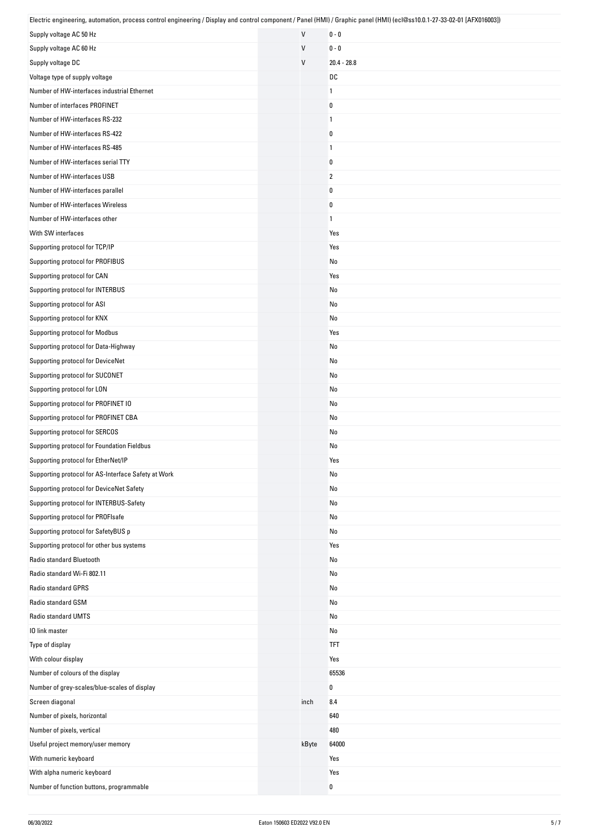| Electric engineering, automation, process control engineering / Display and control component / Panel (HMI) / Graphic panel (HMI) (ecl@ss10.0.1-27-33-02-01 [AFX016003]) |              |                |
|--------------------------------------------------------------------------------------------------------------------------------------------------------------------------|--------------|----------------|
| Supply voltage AC 50 Hz                                                                                                                                                  | $\mathsf{V}$ | $0 - 0$        |
| Supply voltage AC 60 Hz                                                                                                                                                  | V            | $0 - 0$        |
| Supply voltage DC                                                                                                                                                        | $\mathsf{V}$ | $20.4 - 28.8$  |
| Voltage type of supply voltage                                                                                                                                           |              | DC             |
| Number of HW-interfaces industrial Ethernet                                                                                                                              |              | $\mathbf{1}$   |
| Number of interfaces PROFINET                                                                                                                                            |              | 0              |
| Number of HW-interfaces RS-232                                                                                                                                           |              | $\mathbf{1}$   |
| Number of HW-interfaces RS-422                                                                                                                                           |              | 0              |
| Number of HW-interfaces RS-485                                                                                                                                           |              | $\mathbf{1}$   |
| Number of HW-interfaces serial TTY                                                                                                                                       |              | 0              |
| Number of HW-interfaces USB                                                                                                                                              |              | $\overline{2}$ |
| Number of HW-interfaces parallel                                                                                                                                         |              | 0              |
| Number of HW-interfaces Wireless                                                                                                                                         |              | $\pmb{0}$      |
| Number of HW-interfaces other                                                                                                                                            |              | $\mathbf{1}$   |
| With SW interfaces                                                                                                                                                       |              | Yes            |
| Supporting protocol for TCP/IP                                                                                                                                           |              | Yes            |
| Supporting protocol for PROFIBUS                                                                                                                                         |              | No             |
| Supporting protocol for CAN                                                                                                                                              |              | Yes            |
| Supporting protocol for INTERBUS                                                                                                                                         |              | No             |
| Supporting protocol for ASI                                                                                                                                              |              | No             |
| Supporting protocol for KNX                                                                                                                                              |              | No             |
| Supporting protocol for Modbus                                                                                                                                           |              | Yes            |
| Supporting protocol for Data-Highway                                                                                                                                     |              | No             |
| Supporting protocol for DeviceNet                                                                                                                                        |              | No             |
| Supporting protocol for SUCONET                                                                                                                                          |              | No             |
| Supporting protocol for LON                                                                                                                                              |              | No             |
| Supporting protocol for PROFINET IO                                                                                                                                      |              | No             |
| Supporting protocol for PROFINET CBA                                                                                                                                     |              | No             |
| Supporting protocol for SERCOS                                                                                                                                           |              | No             |
| Supporting protocol for Foundation Fieldbus                                                                                                                              |              | No             |
| Supporting protocol for EtherNet/IP                                                                                                                                      |              | Yes            |
| Supporting protocol for AS-Interface Safety at Work                                                                                                                      |              | No             |
| Supporting protocol for DeviceNet Safety                                                                                                                                 |              | No             |
| Supporting protocol for INTERBUS-Safety                                                                                                                                  |              | No             |
| Supporting protocol for PROFIsafe                                                                                                                                        |              | No             |
| Supporting protocol for SafetyBUS p                                                                                                                                      |              | No             |
| Supporting protocol for other bus systems                                                                                                                                |              | Yes            |
| Radio standard Bluetooth                                                                                                                                                 |              | No             |
| Radio standard Wi-Fi 802.11                                                                                                                                              |              | No             |
| Radio standard GPRS                                                                                                                                                      |              | No             |
| Radio standard GSM                                                                                                                                                       |              | No             |
| Radio standard UMTS                                                                                                                                                      |              | No             |
| 10 link master                                                                                                                                                           |              | No             |
| Type of display                                                                                                                                                          |              | <b>TFT</b>     |
| With colour display                                                                                                                                                      |              | Yes            |
| Number of colours of the display                                                                                                                                         |              | 65536          |
| Number of grey-scales/blue-scales of display                                                                                                                             |              | 0              |
| Screen diagonal                                                                                                                                                          | inch         | 8.4            |
| Number of pixels, horizontal                                                                                                                                             |              | 640            |
| Number of pixels, vertical                                                                                                                                               |              | 480            |
| Useful project memory/user memory                                                                                                                                        | kByte        | 64000          |
| With numeric keyboard                                                                                                                                                    |              | Yes            |
| With alpha numeric keyboard                                                                                                                                              |              | Yes            |
| Number of function buttons, programmable                                                                                                                                 |              | $\pmb{0}$      |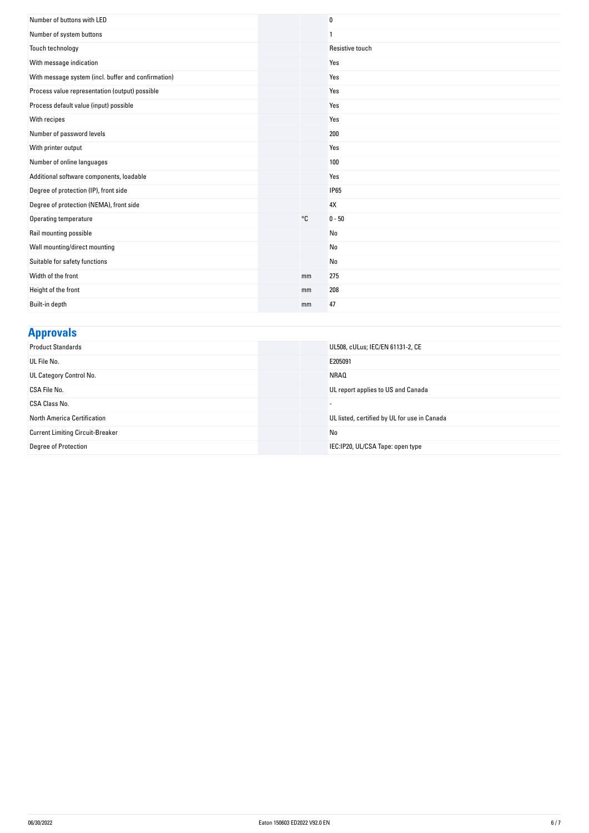| Number of buttons with LED                          |    | $\bf{0}$        |
|-----------------------------------------------------|----|-----------------|
| Number of system buttons                            |    | 1               |
| Touch technology                                    |    | Resistive touch |
| With message indication                             |    | Yes             |
| With message system (incl. buffer and confirmation) |    | Yes             |
| Process value representation (output) possible      |    | Yes             |
| Process default value (input) possible              |    | Yes             |
| With recipes                                        |    | Yes             |
| Number of password levels                           |    | 200             |
| With printer output                                 |    | Yes             |
| Number of online languages                          |    | 100             |
| Additional software components, loadable            |    | Yes             |
| Degree of protection (IP), front side               |    | <b>IP65</b>     |
| Degree of protection (NEMA), front side             |    | 4X              |
| Operating temperature                               | °C | $0 - 50$        |
| Rail mounting possible                              |    | No              |
| Wall mounting/direct mounting                       |    | No              |
| Suitable for safety functions                       |    | No              |
| Width of the front                                  | mm | 275             |
| Height of the front                                 | mm | 208             |
| Built-in depth                                      | mm | 47              |

## **Approvals**

| <b>Product Standards</b>                | UL508, cULus; IEC/EN 61131-2, CE             |
|-----------------------------------------|----------------------------------------------|
| UL File No.                             | E205091                                      |
| UL Category Control No.                 | <b>NRAQ</b>                                  |
| CSA File No.                            | UL report applies to US and Canada           |
| CSA Class No.                           |                                              |
| North America Certification             | UL listed, certified by UL for use in Canada |
| <b>Current Limiting Circuit-Breaker</b> | No                                           |
| Degree of Protection                    | IEC:IP20, UL/CSA Tape: open type             |